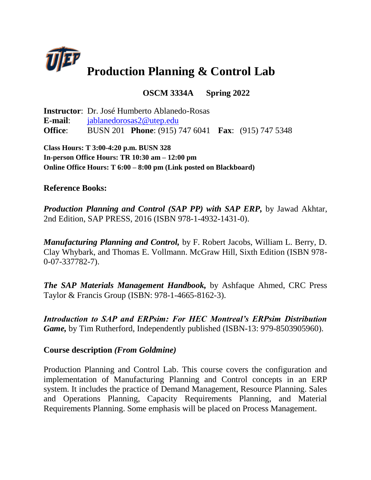

# **OSCM 3334A Spring 2022**

**Instructor**: Dr. José Humberto Ablanedo-Rosas **E-mail**: [jablanedorosas2@utep.edu](mailto:jablanedorosas2@utep.edu) **Office**: BUSN 201 **Phone**: (915) 747 6041 **Fax**: (915) 747 5348

**Class Hours: T 3:00-4:20 p.m. BUSN 328 In-person Office Hours: TR 10:30 am – 12:00 pm Online Office Hours: T 6:00 – 8:00 pm (Link posted on Blackboard)** 

# **Reference Books:**

*Production Planning and Control (SAP PP) with SAP ERP, by Jawad Akhtar,* 2nd Edition, SAP PRESS, 2016 (ISBN 978-1-4932-1431-0).

*Manufacturing Planning and Control,* by F. Robert Jacobs, William L. Berry, D. Clay Whybark, and Thomas E. Vollmann. McGraw Hill, Sixth Edition (ISBN 978- 0-07-337782-7).

*The SAP Materials Management Handbook,* by Ashfaque Ahmed, CRC Press Taylor & Francis Group (ISBN: 978-1-4665-8162-3).

*Introduction to SAP and ERPsim: For HEC Montreal's ERPsim Distribution Game,* by Tim Rutherford, Independently published (ISBN-13: 979-8503905960).

## **Course description** *(From Goldmine)*

Production Planning and Control Lab. This course covers the configuration and implementation of Manufacturing Planning and Control concepts in an ERP system. It includes the practice of Demand Management, Resource Planning. Sales and Operations Planning, Capacity Requirements Planning, and Material Requirements Planning. Some emphasis will be placed on Process Management.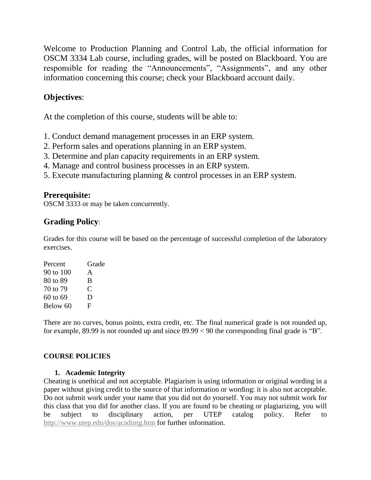Welcome to Production Planning and Control Lab, the official information for OSCM 3334 Lab course, including grades, will be posted on Blackboard. You are responsible for reading the "Announcements", "Assignments", and any other information concerning this course; check your Blackboard account daily.

# **Objectives**:

At the completion of this course, students will be able to:

- 1. Conduct demand management processes in an ERP system.
- 2. Perform sales and operations planning in an ERP system.
- 3. Determine and plan capacity requirements in an ERP system.
- 4. Manage and control business processes in an ERP system.
- 5. Execute manufacturing planning & control processes in an ERP system.

# **Prerequisite:**

OSCM 3333 or may be taken concurrently.

# **Grading Policy**:

Grades for this course will be based on the percentage of successful completion of the laboratory exercises.

| Percent   | Grade |
|-----------|-------|
| 90 to 100 | A     |
| 80 to 89  | B     |
| 70 to 79  | €     |
| 60 to 69  | D     |
| Below 60  | F     |
|           |       |

There are no curves, bonus points, extra credit, etc. The final numerical grade is not rounded up, for example, 89.99 is not rounded up and since 89.99 < 90 the corresponding final grade is "B".

## **COURSE POLICIES**

## **1. Academic Integrity**

Cheating is unethical and not acceptable. Plagiarism is using information or original wording in a paper without giving credit to the source of that information or wording: it is also not acceptable. Do not submit work under your name that you did not do yourself. You may not submit work for this class that you did for another class. If you are found to be cheating or plagiarizing, you will be subject to disciplinary action, per UTEP catalog policy. Refer to [http://www.utep.edu/dos/acadintg.htm f](http://www.utep.edu/dos/acadintg.htm)or further information.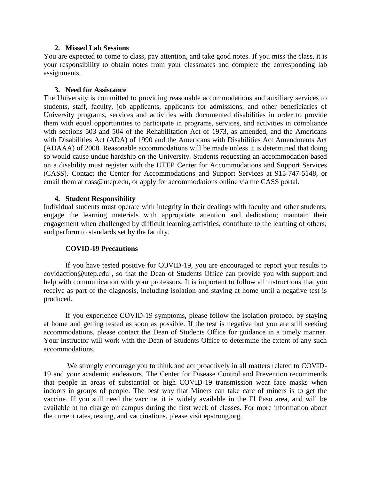#### **2. Missed Lab Sessions**

You are expected to come to class, pay attention, and take good notes. If you miss the class, it is your responsibility to obtain notes from your classmates and complete the corresponding lab assignments.

#### **3. Need for Assistance**

The University is committed to providing reasonable accommodations and auxiliary services to students, staff, faculty, job applicants, applicants for admissions, and other beneficiaries of University programs, services and activities with documented disabilities in order to provide them with equal opportunities to participate in programs, services, and activities in compliance with sections 503 and 504 of the Rehabilitation Act of 1973, as amended, and the Americans with Disabilities Act (ADA) of 1990 and the Americans with Disabilities Act Amendments Act (ADAAA) of 2008. Reasonable accommodations will be made unless it is determined that doing so would cause undue hardship on the University. Students requesting an accommodation based on a disability must register with the UTEP Center for Accommodations and Support Services (CASS). Contact the Center for Accommodations and Support Services at 915-747-5148, or email them at cass@utep.edu, or apply for accommodations online via the CASS portal.

#### **4. Student Responsibility**

Individual students must operate with integrity in their dealings with faculty and other students; engage the learning materials with appropriate attention and dedication; maintain their engagement when challenged by difficult learning activities; contribute to the learning of others; and perform to standards set by the faculty.

#### **COVID-19 Precautions**

If you have tested positive for COVID-19, you are encouraged to report your results to covidaction@utep.edu , so that the Dean of Students Office can provide you with support and help with communication with your professors. It is important to follow all instructions that you receive as part of the diagnosis, including isolation and staying at home until a negative test is produced.

If you experience COVID-19 symptoms, please follow the isolation protocol by staying at home and getting tested as soon as possible. If the test is negative but you are still seeking accommodations, please contact the Dean of Students Office for guidance in a timely manner. Your instructor will work with the Dean of Students Office to determine the extent of any such accommodations.

We strongly encourage you to think and act proactively in all matters related to COVID-19 and your academic endeavors. The Center for Disease Control and Prevention recommends that people in areas of substantial or high COVID-19 transmission wear face masks when indoors in groups of people. The best way that Miners can take care of miners is to get the vaccine. If you still need the vaccine, it is widely available in the El Paso area, and will be available at no charge on campus during the first week of classes. For more information about the current rates, testing, and vaccinations, please visit epstrong.org.